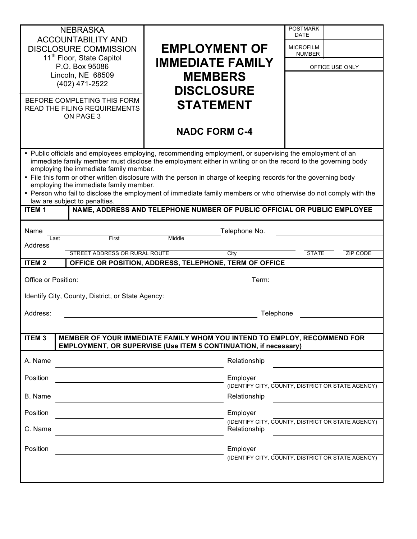| <b>NEBRASKA</b><br><b>ACCOUNTABILITY AND</b><br><b>DISCLOSURE COMMISSION</b><br>11 <sup>th</sup> Floor, State Capitol<br>P.O. Box 95086<br>Lincoln, NE 68509<br>(402) 471-2522<br>BEFORE COMPLETING THIS FORM<br>READ THE FILING REQUIREMENTS<br>ON PAGE 3                                                                                                                                                                                                                                                                                                                                                                                                                         | <b>EMPLOYMENT OF</b><br><b>IMMEDIATE FAMILY</b><br><b>MEMBERS</b><br><b>DISCLOSURE</b><br><b>STATEMENT</b><br><b>NADC FORM C-4</b> | <b>POSTMARK</b><br>DATE<br><b>MICROFILM</b><br><b>NUMBER</b><br>OFFICE USE ONLY |  |
|------------------------------------------------------------------------------------------------------------------------------------------------------------------------------------------------------------------------------------------------------------------------------------------------------------------------------------------------------------------------------------------------------------------------------------------------------------------------------------------------------------------------------------------------------------------------------------------------------------------------------------------------------------------------------------|------------------------------------------------------------------------------------------------------------------------------------|---------------------------------------------------------------------------------|--|
| • Public officials and employees employing, recommending employment, or supervising the employment of an<br>immediate family member must disclose the employment either in writing or on the record to the governing body<br>employing the immediate family member.<br>• File this form or other written disclosure with the person in charge of keeping records for the governing body<br>employing the immediate family member.<br>• Person who fail to disclose the employment of immediate family members or who otherwise do not comply with the<br>law are subject to penalties.<br>NAME, ADDRESS AND TELEPHONE NUMBER OF PUBLIC OFFICIAL OR PUBLIC EMPLOYEE<br><b>ITEM1</b> |                                                                                                                                    |                                                                                 |  |
| Name                                                                                                                                                                                                                                                                                                                                                                                                                                                                                                                                                                                                                                                                               | Telephone No.                                                                                                                      |                                                                                 |  |
| First<br>Last<br>Address                                                                                                                                                                                                                                                                                                                                                                                                                                                                                                                                                                                                                                                           | Middle                                                                                                                             |                                                                                 |  |
| STREET ADDRESS OR RURAL ROUTE                                                                                                                                                                                                                                                                                                                                                                                                                                                                                                                                                                                                                                                      | City                                                                                                                               | <b>STATE</b><br>ZIP CODE                                                        |  |
| <b>ITEM2</b><br>OFFICE OR POSITION, ADDRESS, TELEPHONE, TERM OF OFFICE                                                                                                                                                                                                                                                                                                                                                                                                                                                                                                                                                                                                             |                                                                                                                                    |                                                                                 |  |
| Office or Position:<br>Term:                                                                                                                                                                                                                                                                                                                                                                                                                                                                                                                                                                                                                                                       |                                                                                                                                    |                                                                                 |  |
| Identify City, County, District, or State Agency:                                                                                                                                                                                                                                                                                                                                                                                                                                                                                                                                                                                                                                  |                                                                                                                                    |                                                                                 |  |
|                                                                                                                                                                                                                                                                                                                                                                                                                                                                                                                                                                                                                                                                                    |                                                                                                                                    |                                                                                 |  |
| Address:<br>Telephone                                                                                                                                                                                                                                                                                                                                                                                                                                                                                                                                                                                                                                                              |                                                                                                                                    |                                                                                 |  |
|                                                                                                                                                                                                                                                                                                                                                                                                                                                                                                                                                                                                                                                                                    |                                                                                                                                    |                                                                                 |  |
| MEMBER OF YOUR IMMEDIATE FAMILY WHOM YOU INTEND TO EMPLOY, RECOMMEND FOR<br><b>ITEM3</b><br>EMPLOYMENT, OR SUPERVISE (Use ITEM 5 CONTINUATION, if necessary)                                                                                                                                                                                                                                                                                                                                                                                                                                                                                                                       |                                                                                                                                    |                                                                                 |  |
| A. Name                                                                                                                                                                                                                                                                                                                                                                                                                                                                                                                                                                                                                                                                            | Relationship                                                                                                                       |                                                                                 |  |
| Position                                                                                                                                                                                                                                                                                                                                                                                                                                                                                                                                                                                                                                                                           | Employer                                                                                                                           |                                                                                 |  |
|                                                                                                                                                                                                                                                                                                                                                                                                                                                                                                                                                                                                                                                                                    |                                                                                                                                    | (IDENTIFY CITY, COUNTY, DISTRICT OR STATE AGENCY)                               |  |
| B. Name                                                                                                                                                                                                                                                                                                                                                                                                                                                                                                                                                                                                                                                                            | Relationship                                                                                                                       |                                                                                 |  |
| Position                                                                                                                                                                                                                                                                                                                                                                                                                                                                                                                                                                                                                                                                           | Employer                                                                                                                           |                                                                                 |  |
| C. Name                                                                                                                                                                                                                                                                                                                                                                                                                                                                                                                                                                                                                                                                            | Relationship                                                                                                                       | (IDENTIFY CITY, COUNTY, DISTRICT OR STATE AGENCY)                               |  |
| Position                                                                                                                                                                                                                                                                                                                                                                                                                                                                                                                                                                                                                                                                           | Employer                                                                                                                           |                                                                                 |  |
|                                                                                                                                                                                                                                                                                                                                                                                                                                                                                                                                                                                                                                                                                    |                                                                                                                                    | (IDENTIFY CITY, COUNTY, DISTRICT OR STATE AGENCY)                               |  |
|                                                                                                                                                                                                                                                                                                                                                                                                                                                                                                                                                                                                                                                                                    |                                                                                                                                    |                                                                                 |  |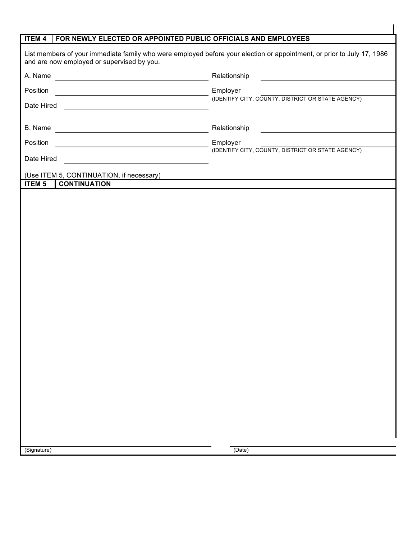| <b>ITEM 4</b><br>FOR NEWLY ELECTED OR APPOINTED PUBLIC OFFICIALS AND EMPLOYEES                                                                                       |                                                               |  |
|----------------------------------------------------------------------------------------------------------------------------------------------------------------------|---------------------------------------------------------------|--|
| List members of your immediate family who were employed before your election or appointment, or prior to July 17, 1986<br>and are now employed or supervised by you. |                                                               |  |
| A. Name                                                                                                                                                              | Relationship                                                  |  |
| Position                                                                                                                                                             | Employer                                                      |  |
| Date Hired                                                                                                                                                           | (IDENTIFY CITY, COUNTY, DISTRICT OR STATE AGENCY)             |  |
| B. Name                                                                                                                                                              | Relationship                                                  |  |
| Position                                                                                                                                                             | Employer<br>(IDENTIFY CITY, COUNTY, DISTRICT OR STATE AGENCY) |  |
| Date Hired                                                                                                                                                           |                                                               |  |
| (Use ITEM 5, CONTINUATION, if necessary)                                                                                                                             |                                                               |  |
| <b>ITEM 5</b><br><b>CONTINUATION</b>                                                                                                                                 |                                                               |  |
|                                                                                                                                                                      |                                                               |  |
|                                                                                                                                                                      |                                                               |  |
|                                                                                                                                                                      |                                                               |  |
|                                                                                                                                                                      |                                                               |  |
|                                                                                                                                                                      |                                                               |  |
|                                                                                                                                                                      |                                                               |  |
|                                                                                                                                                                      |                                                               |  |
|                                                                                                                                                                      |                                                               |  |
|                                                                                                                                                                      |                                                               |  |
|                                                                                                                                                                      |                                                               |  |
|                                                                                                                                                                      |                                                               |  |
|                                                                                                                                                                      |                                                               |  |
|                                                                                                                                                                      |                                                               |  |
|                                                                                                                                                                      |                                                               |  |
|                                                                                                                                                                      |                                                               |  |
|                                                                                                                                                                      |                                                               |  |
|                                                                                                                                                                      |                                                               |  |
|                                                                                                                                                                      |                                                               |  |
|                                                                                                                                                                      |                                                               |  |
|                                                                                                                                                                      |                                                               |  |
|                                                                                                                                                                      |                                                               |  |
| (Signature)                                                                                                                                                          | (Date)                                                        |  |
|                                                                                                                                                                      |                                                               |  |

 $\overline{\phantom{a}}$